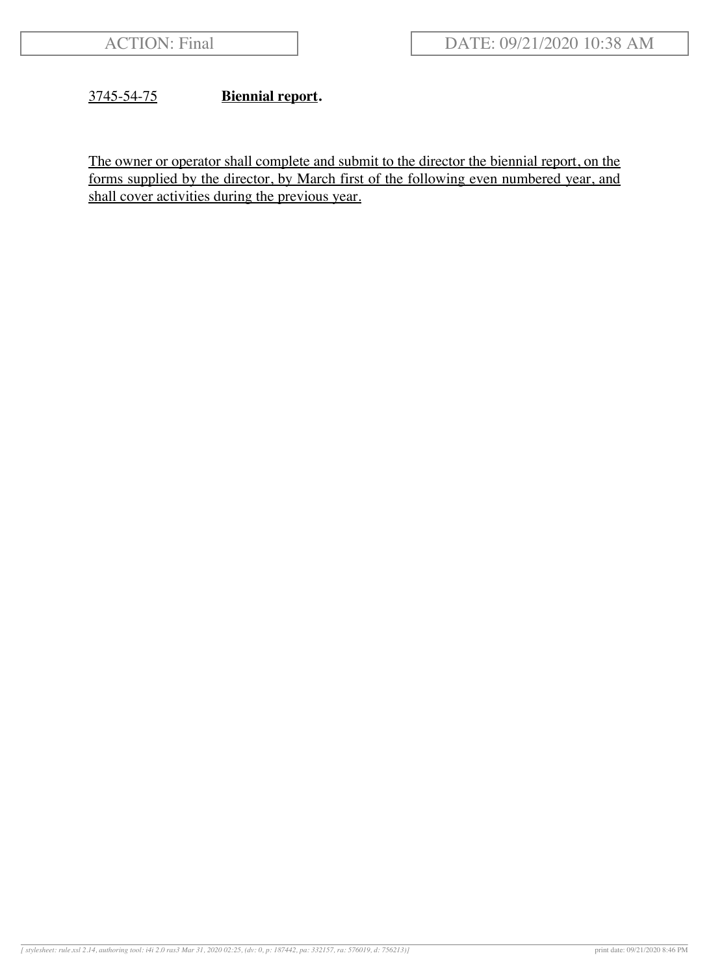# 3745-54-75 **Biennial report.**

The owner or operator shall complete and submit to the director the biennial report, on the forms supplied by the director, by March first of the following even numbered year, and shall cover activities during the previous year.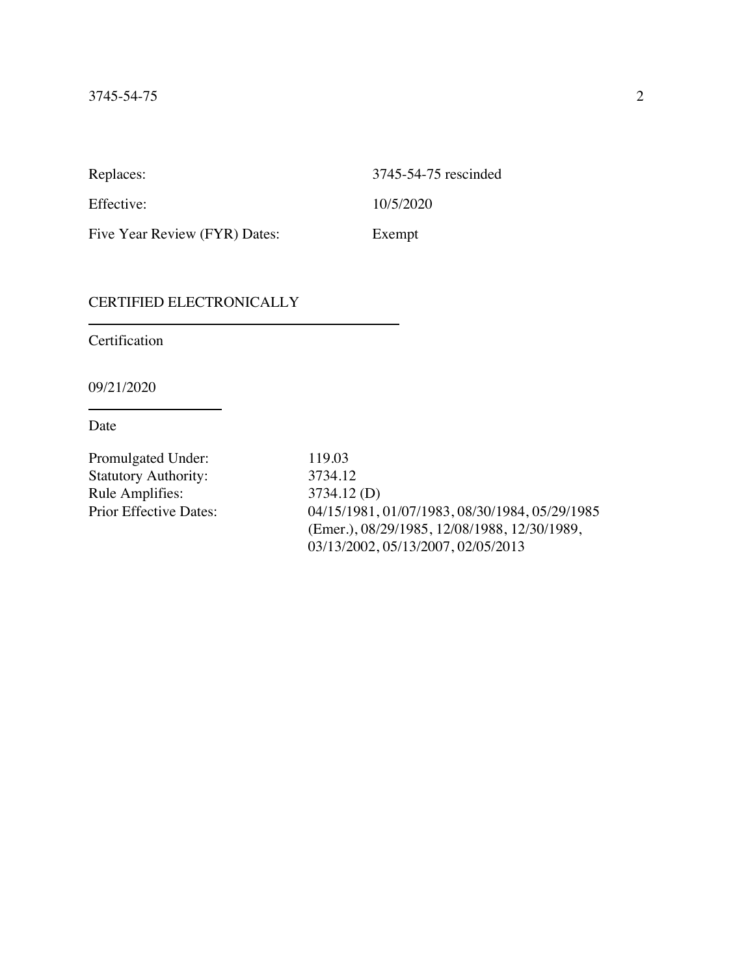Replaces: 3745-54-75 rescinded Effective: 10/5/2020 Five Year Review (FYR) Dates: Exempt

#### CERTIFIED ELECTRONICALLY

Certification

09/21/2020

Date

Promulgated Under: 119.03 Statutory Authority: 3734.12 Rule Amplifies: 3734.12 (D)<br>Prior Effective Dates: 04/15/1981.

04/15/1981, 01/07/1983, 08/30/1984, 05/29/1985 (Emer.), 08/29/1985, 12/08/1988, 12/30/1989, 03/13/2002, 05/13/2007, 02/05/2013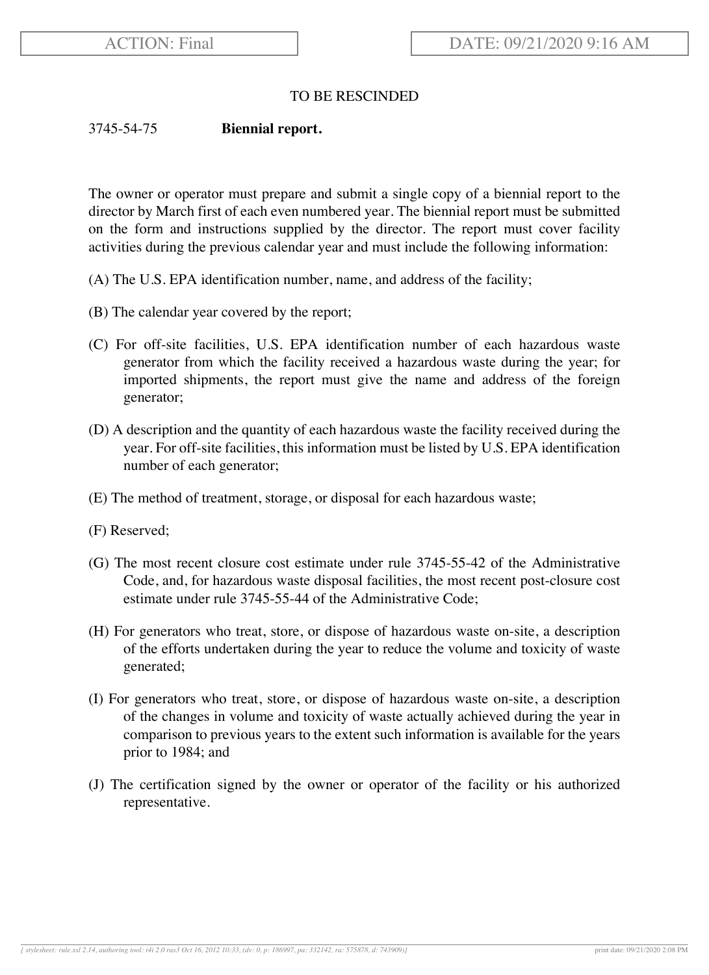# TO BE RESCINDED

### 3745-54-75 **Biennial report.**

The owner or operator must prepare and submit a single copy of a biennial report to the director by March first of each even numbered year. The biennial report must be submitted on the form and instructions supplied by the director. The report must cover facility activities during the previous calendar year and must include the following information:

- (A) The U.S. EPA identification number, name, and address of the facility;
- (B) The calendar year covered by the report;
- (C) For off-site facilities, U.S. EPA identification number of each hazardous waste generator from which the facility received a hazardous waste during the year; for imported shipments, the report must give the name and address of the foreign generator;
- (D) A description and the quantity of each hazardous waste the facility received during the year. For off-site facilities, this information must be listed by U.S. EPA identification number of each generator;
- (E) The method of treatment, storage, or disposal for each hazardous waste;
- (F) Reserved;
- (G) The most recent closure cost estimate under rule 3745-55-42 of the Administrative Code, and, for hazardous waste disposal facilities, the most recent post-closure cost estimate under rule 3745-55-44 of the Administrative Code;
- (H) For generators who treat, store, or dispose of hazardous waste on-site, a description of the efforts undertaken during the year to reduce the volume and toxicity of waste generated;
- (I) For generators who treat, store, or dispose of hazardous waste on-site, a description of the changes in volume and toxicity of waste actually achieved during the year in comparison to previous years to the extent such information is available for the years prior to 1984; and
- (J) The certification signed by the owner or operator of the facility or his authorized representative.